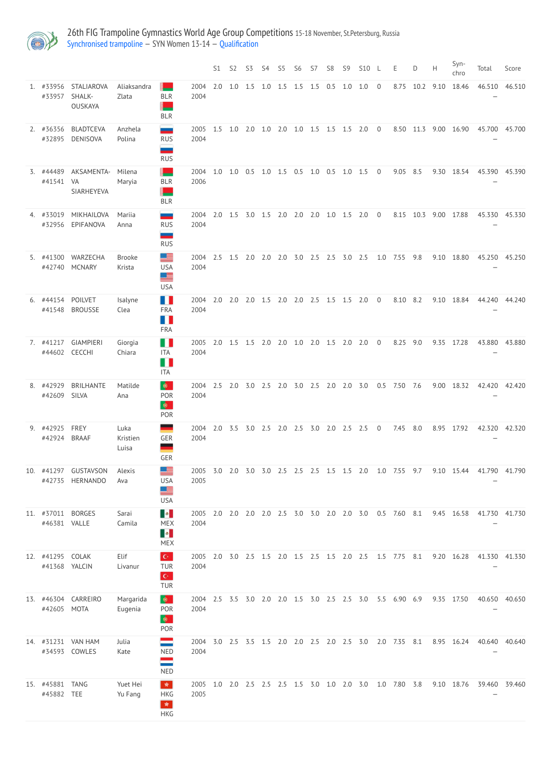

26th FIG Trampoline Gymnastics World Age Group Competitions 15-18 November, St.Petersburg, Russia [Synchronised](http://192.168.1.10:9001/event/SYN) trampoline — SYN Women 13-14 — [Qualification](http://192.168.1.10:9001/stages/68)

|                                   |                                        |                           |                                                                               |                                                        | S1  | S <sub>2</sub> | S3          | S4  | S <sub>5</sub> | S <sub>6</sub> | S7             | S <sub>8</sub> | S <sub>9</sub> | <b>S10</b> | -L             | E.                                                        | D.   | H    | Syn-<br>chro | Total                                 | Score  |
|-----------------------------------|----------------------------------------|---------------------------|-------------------------------------------------------------------------------|--------------------------------------------------------|-----|----------------|-------------|-----|----------------|----------------|----------------|----------------|----------------|------------|----------------|-----------------------------------------------------------|------|------|--------------|---------------------------------------|--------|
| 1. #33956<br>#33957               | <b>STALIAROVA</b><br>SHALK-<br>OUSKAYA | Aliaksandra<br>Zlata      | <b>BLR</b><br><b>BLR</b>                                                      | 2004<br>2004                                           | 2.0 | 1.0            | 1.5         | 1.0 | 1.5            | 1.5            | 1.5            | 0.5            | 1.0            | 1.0        | $\overline{0}$ | 8.75                                                      | 10.2 | 9.10 | 18.46        | 46.510                                | 46.510 |
| 2. #36356<br>#32895               | <b>BLADTCEVA</b><br><b>DENISOVA</b>    | Anzhela<br>Polina         | --<br><b>RUS</b><br>--<br><b>RUS</b>                                          | 2005<br>2004                                           | 1.5 | 1.0            | 2.0         | 1.0 | 2.0            | $1.0$ 1.5      |                | 1.5            | 1.5            | 2.0        | $\overline{0}$ | 8.50 11.3                                                 |      | 9.00 | 16.90        | 45.700                                | 45.700 |
| 3. #44489<br>#41541               | AKSAMENTA-<br>VA<br>SIARHEYEVA         | Milena<br>Maryia          | <b>BLR</b><br><b>BLR</b>                                                      | 2004<br>2006                                           | 1.0 | 1.0            | 0.5         | 1.0 | 1.5            | 0.5            | $1.0\quad 0.5$ |                | 1.0            | 1.5        | $\overline{0}$ | 9.05                                                      | 8.5  | 9.30 | 18.54        | 45.390                                | 45.390 |
| 4. #33019<br>#32956               | MIKHAILOVA<br>EPIFANOVA                | Mariia<br>Anna            | --<br><b>RUS</b><br>═<br><b>RUS</b>                                           | 2004<br>2004                                           | 2.0 | 1.5            | 3.0         | 1.5 | 2.0            | 2.0            | 2.0            | 1.0            | 1.5            | 2.0        | $\overline{0}$ | 8.15                                                      | 10.3 | 9.00 | 17.88        | 45.330                                | 45.330 |
| 5. #41300<br>#42740               | WARZECHA<br><b>MCNARY</b>              | <b>Brooke</b><br>Krista   | 또<br><b>USA</b><br>≝<br><b>USA</b>                                            | 2004<br>2004                                           | 2.5 | 1.5            | 2.0         | 2.0 | 2.0            | 3.0            | 2.5            | 2.5            | 3.0            | 2.5        | 1.0            | 7.55                                                      | 9.8  | 9.10 | 18.80        | 45.250                                | 45.250 |
| 6. #44154<br>#41548               | <b>POILVET</b><br><b>BROUSSE</b>       | Isalyne<br>Clea           | M H<br><b>FRA</b><br>H<br><b>FRA</b>                                          | 2004<br>2004                                           | 2.0 | 2.0            | 2.0         | 1.5 | 2.0            | $2.0$ 2.5      |                | 1.5            | 1.5            | 2.0        | $\overline{0}$ | 8.10                                                      | 8.2  | 9.10 | 18.84        | 44.240                                | 44.240 |
|                                   | 7. #41217 GIAMPIERI<br>#44602 CECCHI   | Giorgia<br>Chiara         | <b>ITA</b><br>ITA                                                             | 2005 2.0<br>2004                                       |     |                | $1.5$ $1.5$ | 2.0 | 2.0            | 1.0            | 2.0            | 1.5            | 2.0            | 2.0        | $\overline{0}$ | 8.25                                                      | 9.0  | 9.35 | 17.28        | 43.880                                | 43.880 |
| 8. #42929<br>#42609 SILVA         | <b>BRILHANTE</b>                       | Matilde<br>Ana            | $\bullet$<br>POR<br>$\bullet$<br>POR                                          | 2004                                                   |     |                |             |     |                |                |                |                |                |            |                | 2004 2.5 2.0 3.0 2.5 2.0 3.0 2.5 2.0 2.0 3.0 0.5 7.50 7.6 |      |      |              | 9.00 18.32 42.420 42.420              |        |
| 9. #42925<br>#42924               | FREY<br><b>BRAAF</b>                   | Luka<br>Kristien<br>Luisa | GER<br>GER                                                                    | 2004 2.0 3.5 3.0 2.5 2.0 2.5 3.0 2.0 2.5 2.5 0<br>2004 |     |                |             |     |                |                |                |                |                |            |                | 7.45 8.0                                                  |      |      | 8.95 17.92   | 42.320 42.320                         |        |
| 10. #41297                        | <b>GUSTAVSON</b><br>#42735 HERNANDO    | Alexis<br>Ava             | 트<br><b>USA</b><br>▇<br><b>USA</b>                                            | 2005 3.0 2.0 3.0 3.0 2.5 2.5 2.5 1.5 1.5 2.0<br>2005   |     |                |             |     |                |                |                |                |                |            |                |                                                           |      |      |              | 1.0 7.55 9.7 9.10 15.44 41.790 41.790 |        |
| 11. #37011<br>#46381 VALLE        | <b>BORGES</b>                          | Sarai<br>Camila           | $\langle \bullet   \bullet \rangle$<br><b>MEX</b><br>R.<br><b>MEX</b>         | 2005<br>2004                                           |     |                |             |     |                |                |                |                |                |            |                | 2.0 2.0 2.0 2.0 2.5 3.0 3.0 2.0 2.0 3.0 0.5 7.60 8.1      |      |      | 9.45 16.58   | 41.730 41.730                         |        |
| 12. #41295 COLAK<br>#41368 YALCIN |                                        | Elif<br>Livanur           | $\mathbf{C}^{\perp}$<br><b>TUR</b><br>$\mathbf{C}^{\mathbb{C}}$<br><b>TUR</b> | 2005<br>2004                                           | 2.0 |                |             |     |                |                |                |                |                |            |                | 3.0 2.5 1.5 2.0 1.5 2.5 1.5 2.0 2.5 1.5 7.75 8.1          |      |      | 9.20 16.28   | 41.330 41.330                         |        |

| 13. #46304<br>#42605 | CARREIRO<br>MOTA         | Margarida<br>Eugenia | - ⊕<br><b>POR</b><br>⊕<br><b>POR</b>                                                 | 2004<br>2004 | 2.5 3.5 |     | 3.0                 | 2.0 | 2.0 | 1.5               | 3.0 | 2.5     | 2.5 | 3.0 | 5.5     | 6.90 | 6.9 | 9.35 | 17.50 | 40.650 | 40.650 |
|----------------------|--------------------------|----------------------|--------------------------------------------------------------------------------------|--------------|---------|-----|---------------------|-----|-----|-------------------|-----|---------|-----|-----|---------|------|-----|------|-------|--------|--------|
| 14. #31231<br>#34593 | <b>VAN HAM</b><br>COWLES | Julia<br>Kate        | ═<br><b>NED</b><br>ᆖ<br><b>NED</b>                                                   | 2004<br>2004 |         |     | 3.0 2.5 3.5 1.5 2.0 |     |     | $2.0$ $2.5$ $2.0$ |     |         | 2.5 | 3.0 | 2.0     | 7.35 | 8.1 | 8.95 | 16.24 | 40.640 | 40.640 |
| 15. #45881<br>#45882 | <b>TANG</b><br>TEE       | Yuet Hei<br>Yu Fang  | $\mathcal{L}^{\text{S}}$<br><b>HKG</b><br>$\frac{\sqrt{3}}{2\sqrt{3}}$<br><b>HKG</b> | 2005<br>2005 | $1.0\,$ | 2.0 | 2.5 2.5 2.5 1.5     |     |     |                   | 3.0 | $1.0\,$ | 2.0 | 3.0 | $1.0\,$ | 7.80 | 3.8 | 9.10 | 18.76 | 39.460 | 39.460 |